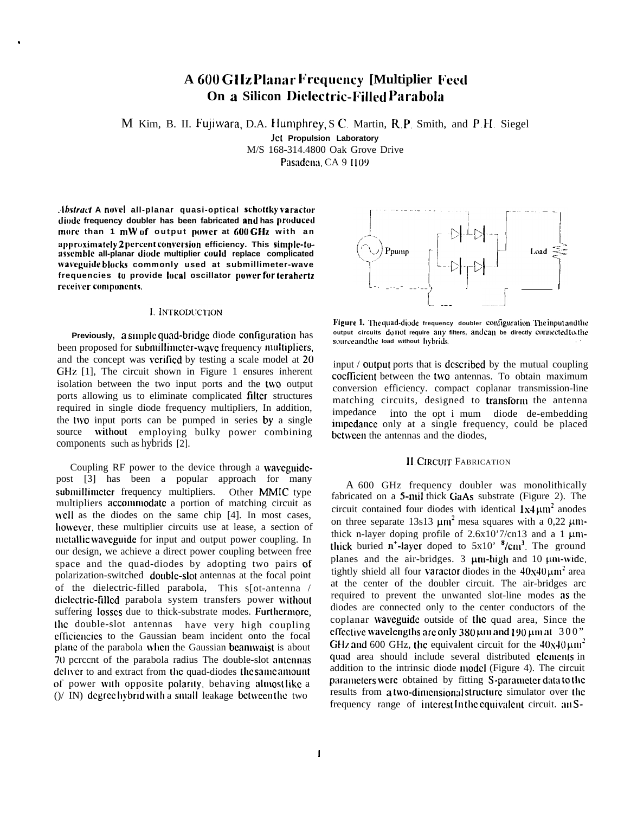# **A 600 Cl Iz ['liln;i~ Frqucncy [Multiplier [reed On a Silicon Dielectric-Filled Parabola**

M Kim, B. II. Fujiwara, D.A. Humphrey, S.C. Martin, R.P. Smith, and P.H. Siegel

JCL **Propulsion Laboratory** M/S 168-314.4800 Oak Grove Drive

Pasadena, CA 9 1109

**.ib.\$frucf A novel all-planar quasi-optical schottky wss-adur dimtc frequency doubler has been fabricated and has produced more than 1** mW **of output power at 600 GHz with an**  $\alpha$ **Phroximately** 2 percent conversion efficiency. This simple-to**assemhle all-planar diode multiplier could replace complicated waveguide blocks commonly used at submillimeter-wave frequencies to provide local oscillator power fur terahertz receiver** components.

.

# **I. INTRODUCTION**

Previously, a simple quad-bridge diode configuration has been proposed for submillimeter-wave frequency multipliers, and the concept was verified by testing a scale model at 20 GHz [1], The circuit shown in Figure 1 ensures inherent isolation between the two input ports and the two output ports allowing us to eliminate complicated filter structures required in single diode frequency multipliers, In addition, the two input ports can be pumped in series  $\mathbf{b}v$  a single source without employing bulky power combining components such as hybrids [2].

Coupling RF power to the device through a waveguidepost [3] has been a popular approach for many submillimeter frequency multipliers. Other MMIC type multipliers accommodate a portion of matching circuit as well as the diodes on the same chip [4]. In most cases, however, these multiplier circuits use at lease, a section of nictallic waveguide for input and output power coupling. In our design, we achieve a direct power coupling between free space and the quad-diodes by adopting two pairs of polarization-switched double-slot antennas at the focal point of the dielectric-filled parabola, This s[ot-antenna / diclectric-filled parabola system transfers power without suffering losses due to thick-substrate modes. Furthermore, the double-slot antennas have very high coupling cfticicncics to the Gaussian beam incident onto the focal plane of the parabola when the Gaussian beamwaist is about 70 pcrccnt of the parabola radius The double-slot antennas deliver to and extract from the quad-diodes the same amount of power with opposite polarity, behaving almost like a  $(y / IN)$  degree hybrid with a small leakage between the two



**Figure 1.** The quad-diode frequency doubler configuration. The input and the **output circuits do not require any filters, and cm be directly conmcted to tlw**  $source$  and the load without hybrids.

input / output ports that is dcscribcd by the mutual coupling coefficient between the two antennas. To obtain maximum conversion efficiency. compact coplanar transmission-line matching circuits, designed to transfom the antenna impedance into the opt i mum diode de-embedding impedance only at a single frequency, could be placed bctwccn the antennas and the diodes,

## 11, CIRCUIT FABRICATION

A 600 GHz frequency doubler was monolithically fabricated on a 5-mil thick GaAs substrate (Figure 2). The circuit contained four diodes with identical  $1x4 \mu m^2$  anodes on three separate 13s13  $\mu$ m<sup>2</sup> mesa squares with a 0,22  $\mu$ mthick n-layer doping profile of  $2.6x10'7/cn13$  and a 1  $\mu$ mthick buried  $n^*$ -layer doped to  $5x10$ <sup>3</sup>/cm<sup>3</sup>. The ground planes and the air-bridges.  $3 \mu m$ -high and 10  $\mu m$ -wide, tightly shield all four varactor diodes in the  $40x40 \mu m^2$  area at the center of the doubler circuit. The air-bridges arc required to prevent the unwanted slot-line modes as the diodes are connected only to the center conductors of the coplanar wavcguide outside of the quad area, Since the effcclive \vavelengtlls arc **only 380 pnl and 190 pm a[** 300 " GHz and 600 GHz, the equivalent circuit for the  $40x40 \mu m^2$ . quad area should include several distributed elements in addition to the intrinsic diode model (Figure 4). The circuit parameters were obtained by fitting S-parameter data to the results from a two-dimensional structure simulator over the frequency range of interest In the equivalent circuit.  $an S$ -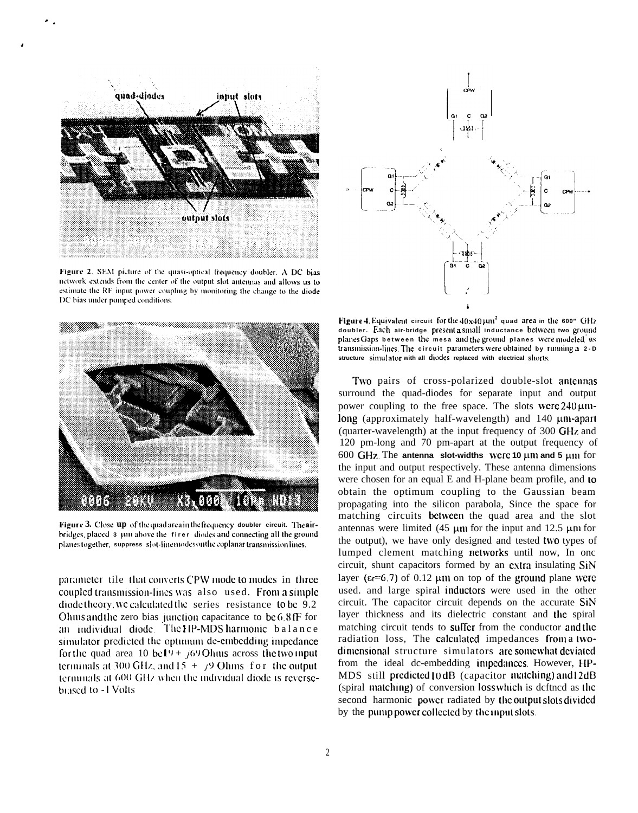

Figure 2. SEM picture of the quasi-optical frequency doubler. A DC bias network extends from the center of the output slot antennas and allows us to estimate the RF input power coupling by monitoring the change to the diode DC bias under pumped conditions.



Figure 3. Close up of the quad area in the frequency doubler circuit. The airbridges, placed 3 um above the firer diodes and connecting all the ground planes together, suppress slot-line modes on the coplanar transmission lines.

parameter tile that converts CPW mode to modes in three coupled transmission-lines was also used. From a simple diode theory, we calculated the series resistance to be 9.2 Ohins and the zero bias junction capacitance to be 6.8fF for an individual diode. The HP-MDS harmonic balance simulator predicted the optimum de-embedding impedance for the quad area 10 be19 +  $/69$  Ohms across the two input terminals at 300 GHz, and  $15 + y9$  Ohms for the output terminals at 600 GHz when the individual diode is reversebiased to -1 Volts



Figure 4. Equivalent circuit for the  $40x40 \mu m^2$  quad area in the 600" GHz doubler. Each air-bridge present a small inductance between two ground planes Gaps between the mesa and the ground planes were modeled as transmission-lines. The circuit parameters were obtained by running a 2-D structure simulator with all diodes replaced with electrical shorts.

Two pairs of cross-polarized double-slot antennas surround the quad-diodes for separate input and output power coupling to the free space. The slots were  $240 \mu m$ long (approximately half-wavelength) and 140 µm-apart (quarter-wavelength) at the input frequency of 300 GHz and 120 pm-long and 70 pm-apart at the output frequency of 600 GHz. The antenna slot-widths were 10  $\mu$ m and 5  $\mu$ m for the input and output respectively. These antenna dimensions were chosen for an equal E and H-plane beam profile, and to obtain the optimum coupling to the Gaussian beam propagating into the silicon parabola, Since the space for matching circuits **between** the quad area and the slot antennas were limited (45  $\mu$ m for the input and 12.5  $\mu$ m for the output), we have only designed and tested two types of lumped clement matching networks until now, In one circuit, shunt capacitors formed by an extra insulating SiN layer ( $\varepsilon$ r=6.7) of 0.12 µm on top of the ground plane were used, and large spiral inductors were used in the other circuit. The capacitor circuit depends on the accurate SiN layer thickness and its dielectric constant and the spiral matching circuit tends to suffer from the conductor and the radiation loss, The calculated impedances from a twodimensional structure simulators are somewhat deviated from the ideal dc-embedding impedances However, HP-MDS still predicted 10 dB (capacitor matching) and 12dB (spiral matching) of conversion loss which is deftned as the second harmonic power radiated by the output slots divided by the pump power collected by the mont slots.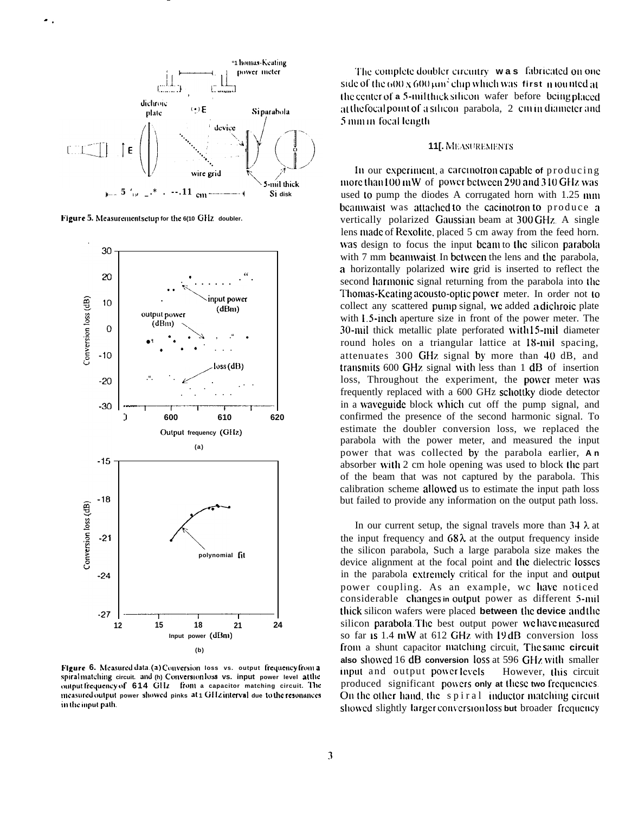

Figure 5. Measurement setup for the 6(10 GHz doubler.



Figure 6. Measured data (a) Conversion loss vs. output frequency from a spiralmatching circuit. and (h) Conversion loss vs. input power level at the output frequency of 614 GHz from a capacitor matching circuit. The measured output power showed pinks at 1 GHz interval due to the resonances in the input path.

The complete doubler circuitry was fabricated on one side of the  $600 \times 600 \mu m^2$  chip which was first mounted at the center of a 5-milthick silicon wafer before being placed at the focal point of a silicon parabola, 2 cm in diameter and 5 min in focal length

### **11J. MEASUREMENTS**

In our experiment, a carcinotron capable of producing more than 100 mW of power between 290 and 310 GHz was used to pump the diodes A corrugated horn with 1.25 mm beamwaist was attached to the cacinotron to produce a vertically polarized Gaussian beam at 300 GHz. A single lens made of Rexolite, placed 5 cm away from the feed horn. was design to focus the input beam to the silicon parabola with 7 mm beauwaist. In between the lens and the parabola. a horizontally polarized wire grid is inserted to reflect the second harmonic signal returning from the parabola into the Thomas-Keating acousto-optic power meter. In order not to collect any scattered pump signal, we added a dichroic plate with 1.5-inch aperture size in front of the power meter. The 30-mil thick metallic plate perforated with 15-mil diameter round holes on a triangular lattice at 18-mil spacing, attenuates 300 GHz signal by more than 40 dB, and transmits 600 GHz signal with less than 1 dB of insertion loss, Throughout the experiment, the power meter was frequently replaced with a 600 GHz schottky diode detector in a waveguide block which cut off the pump signal, and confirmed the presence of the second harmonic signal. To estimate the doubler conversion loss, we replaced the parabola with the power meter, and measured the input power that was collected by the parabola earlier, An absorber with 2 cm hole opening was used to block the part of the beam that was not captured by the parabola. This calibration scheme allowed us to estimate the input path loss but failed to provide any information on the output path loss.

In our current setup, the signal travels more than  $34 \lambda$  at the input frequency and  $68\lambda$  at the output frequency inside the silicon parabola, Such a large parabola size makes the device alignment at the focal point and the dielectric losses in the parabola extremely critical for the input and output power coupling. As an example, we have noticed considerable changes in output power as different 5-mil thick silicon wafers were placed between the device and the silicon parabola. The best output power we have measured so far is 1.4 mW at 612 GHz with 19dB conversion loss from a shunt capacitor matching circuit, The same circuit also showed 16 dB conversion loss at 596 GHz with smaller input and output power levels However, this circuit produced significant powers only at these two frequencies. On the other hand, the spiral inductor matching circuit showed slightly larger conversion loss but broader frequency